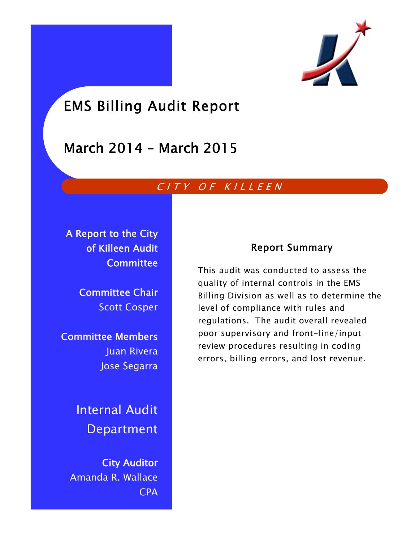

# EMS Billing Audit Report

# March 2014 – March 2015

## CITY OF KILLEEN

A Report to the City of Killeen Audit **Committee** 

> Committee Chair Scott Cosper

Committee Members Juan Rivera Jose Segarra

> Internal Audit Department

City Auditor Amanda R. Wallace CPA

## Report Summary

This audit was conducted to assess the quality of internal controls in the EMS Billing Division as well as to determine the level of compliance with rules and regulations. The audit overall revealed poor supervisory and front-line/input review procedures resulting in coding errors, billing errors, and lost revenue.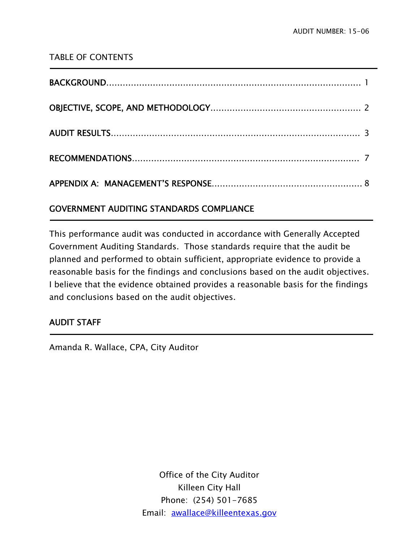### TABLE OF CONTENTS

## GOVERNMENT AUDITING STANDARDS COMPLIANCE

This performance audit was conducted in accordance with Generally Accepted Government Auditing Standards. Those standards require that the audit be planned and performed to obtain sufficient, appropriate evidence to provide a reasonable basis for the findings and conclusions based on the audit objectives. I believe that the evidence obtained provides a reasonable basis for the findings and conclusions based on the audit objectives.

### AUDIT STAFF

j

j

Amanda R. Wallace, CPA, City Auditor

Office of the City Auditor Killeen City Hall Phone: (254) 501-7685 Email: awallace@killeentexas.gov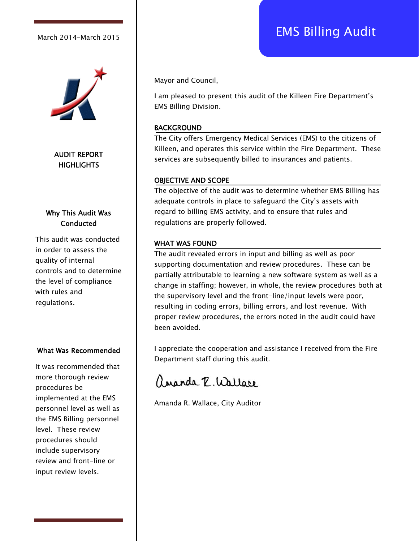

AUDIT REPORT **HIGHLIGHTS** 

#### Why This Audit Was **Conducted**

This audit was conducted in order to assess the quality of internal controls and to determine the level of compliance with rules and regulations.

#### What Was Recommended

It was recommended that more thorough review procedures be implemented at the EMS personnel level as well as the EMS Billing personnel level. These review procedures should include supervisory review and front-line or input review levels.

Mayor and Council,

I am pleased to present this audit of the Killeen Fire Department's EMS Billing Division.

#### BACKGROUND

The City offers Emergency Medical Services (EMS) to the citizens of Killeen, and operates this service within the Fire Department. These services are subsequently billed to insurances and patients.

#### OBJECTIVE AND SCOPE

The objective of the audit was to determine whether EMS Billing has adequate controls in place to safeguard the City's assets with regard to billing EMS activity, and to ensure that rules and regulations are properly followed.

#### WHAT WAS FOUND

The audit revealed errors in input and billing as well as poor supporting documentation and review procedures. These can be partially attributable to learning a new software system as well as a change in staffing; however, in whole, the review procedures both at the supervisory level and the front-line/input levels were poor, resulting in coding errors, billing errors, and lost revenue. With proper review procedures, the errors noted in the audit could have been avoided.

I appreciate the cooperation and assistance I received from the Fire Department staff during this audit.

angola P. Wallare

Amanda R. Wallace, City Auditor

# March 2014-March 2015 | March 2015 | March 2014-March 2015 | MS Billing Audit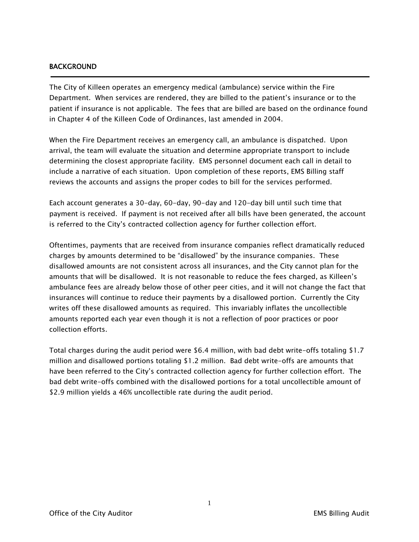#### BACKGROUND

j

The City of Killeen operates an emergency medical (ambulance) service within the Fire Department. When services are rendered, they are billed to the patient's insurance or to the patient if insurance is not applicable. The fees that are billed are based on the ordinance found in Chapter 4 of the Killeen Code of Ordinances, last amended in 2004.

When the Fire Department receives an emergency call, an ambulance is dispatched. Upon arrival, the team will evaluate the situation and determine appropriate transport to include determining the closest appropriate facility. EMS personnel document each call in detail to include a narrative of each situation. Upon completion of these reports, EMS Billing staff reviews the accounts and assigns the proper codes to bill for the services performed.

Each account generates a 30-day, 60-day, 90-day and 120-day bill until such time that payment is received. If payment is not received after all bills have been generated, the account is referred to the City's contracted collection agency for further collection effort.

Oftentimes, payments that are received from insurance companies reflect dramatically reduced charges by amounts determined to be "disallowed" by the insurance companies. These disallowed amounts are not consistent across all insurances, and the City cannot plan for the amounts that will be disallowed. It is not reasonable to reduce the fees charged, as Killeen's ambulance fees are already below those of other peer cities, and it will not change the fact that insurances will continue to reduce their payments by a disallowed portion. Currently the City writes off these disallowed amounts as required. This invariably inflates the uncollectible amounts reported each year even though it is not a reflection of poor practices or poor collection efforts.

Total charges during the audit period were \$6.4 million, with bad debt write-offs totaling \$1.7 million and disallowed portions totaling \$1.2 million. Bad debt write-offs are amounts that have been referred to the City's contracted collection agency for further collection effort. The bad debt write-offs combined with the disallowed portions for a total uncollectible amount of \$2.9 million yields a 46% uncollectible rate during the audit period.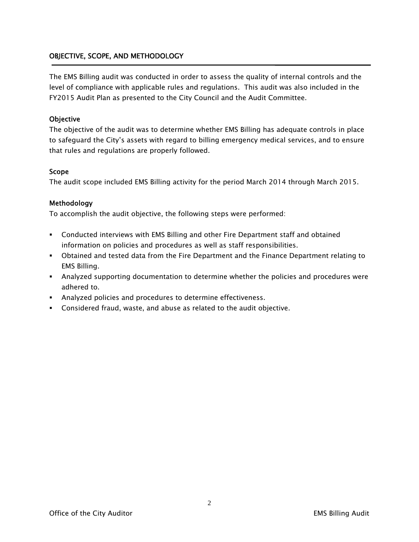#### OBJECTIVE, SCOPE, AND METHODOLOGY

The EMS Billing audit was conducted in order to assess the quality of internal controls and the level of compliance with applicable rules and regulations. This audit was also included in the FY2015 Audit Plan as presented to the City Council and the Audit Committee.

#### **Objective**

The objective of the audit was to determine whether EMS Billing has adequate controls in place to safeguard the City's assets with regard to billing emergency medical services, and to ensure that rules and regulations are properly followed.

#### Scope

The audit scope included EMS Billing activity for the period March 2014 through March 2015.

#### Methodology

To accomplish the audit objective, the following steps were performed:

- Conducted interviews with EMS Billing and other Fire Department staff and obtained information on policies and procedures as well as staff responsibilities.
- Obtained and tested data from the Fire Department and the Finance Department relating to EMS Billing.
- Analyzed supporting documentation to determine whether the policies and procedures were adhered to.
- Analyzed policies and procedures to determine effectiveness.
- Considered fraud, waste, and abuse as related to the audit objective.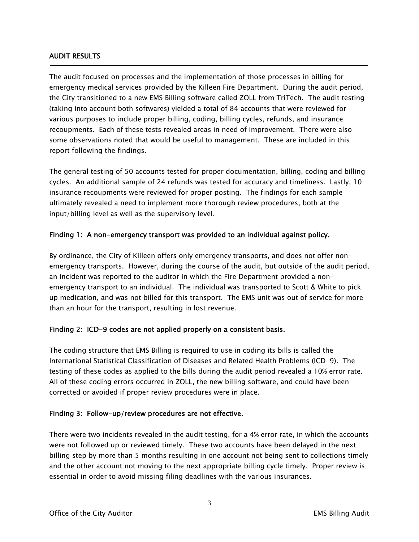#### AUDIT RESULTS

Ī

The audit focused on processes and the implementation of those processes in billing for emergency medical services provided by the Killeen Fire Department. During the audit period, the City transitioned to a new EMS Billing software called ZOLL from TriTech. The audit testing (taking into account both softwares) yielded a total of 84 accounts that were reviewed for various purposes to include proper billing, coding, billing cycles, refunds, and insurance recoupments. Each of these tests revealed areas in need of improvement. There were also some observations noted that would be useful to management. These are included in this report following the findings.

The general testing of 50 accounts tested for proper documentation, billing, coding and billing cycles. An additional sample of 24 refunds was tested for accuracy and timeliness. Lastly, 10 insurance recoupments were reviewed for proper posting. The findings for each sample ultimately revealed a need to implement more thorough review procedures, both at the input/billing level as well as the supervisory level.

#### Finding 1: A non-emergency transport was provided to an individual against policy.

By ordinance, the City of Killeen offers only emergency transports, and does not offer nonemergency transports. However, during the course of the audit, but outside of the audit period, an incident was reported to the auditor in which the Fire Department provided a nonemergency transport to an individual. The individual was transported to Scott & White to pick up medication, and was not billed for this transport. The EMS unit was out of service for more than an hour for the transport, resulting in lost revenue.

#### Finding 2: ICD-9 codes are not applied properly on a consistent basis.

The coding structure that EMS Billing is required to use in coding its bills is called the International Statistical Classification of Diseases and Related Health Problems (ICD-9). The testing of these codes as applied to the bills during the audit period revealed a 10% error rate. All of these coding errors occurred in ZOLL, the new billing software, and could have been corrected or avoided if proper review procedures were in place.

#### Finding 3: Follow-up/review procedures are not effective.

There were two incidents revealed in the audit testing, for a 4% error rate, in which the accounts were not followed up or reviewed timely. These two accounts have been delayed in the next billing step by more than 5 months resulting in one account not being sent to collections timely and the other account not moving to the next appropriate billing cycle timely. Proper review is essential in order to avoid missing filing deadlines with the various insurances.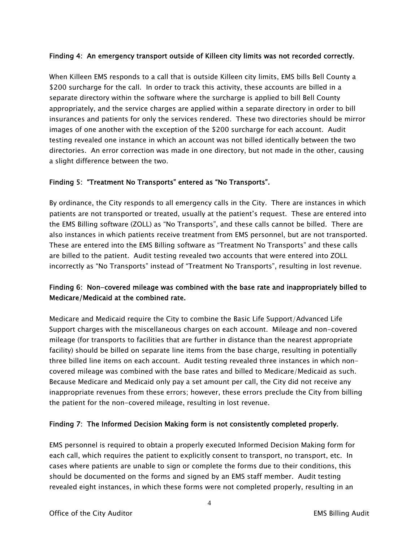#### Finding 4: An emergency transport outside of Killeen city limits was not recorded correctly.

When Killeen EMS responds to a call that is outside Killeen city limits, EMS bills Bell County a \$200 surcharge for the call. In order to track this activity, these accounts are billed in a separate directory within the software where the surcharge is applied to bill Bell County appropriately, and the service charges are applied within a separate directory in order to bill insurances and patients for only the services rendered. These two directories should be mirror images of one another with the exception of the \$200 surcharge for each account. Audit testing revealed one instance in which an account was not billed identically between the two directories. An error correction was made in one directory, but not made in the other, causing a slight difference between the two.

#### Finding 5: "Treatment No Transports" entered as "No Transports".

By ordinance, the City responds to all emergency calls in the City. There are instances in which patients are not transported or treated, usually at the patient's request. These are entered into the EMS Billing software (ZOLL) as "No Transports", and these calls cannot be billed. There are also instances in which patients receive treatment from EMS personnel, but are not transported. These are entered into the EMS Billing software as "Treatment No Transports" and these calls are billed to the patient. Audit testing revealed two accounts that were entered into ZOLL incorrectly as "No Transports" instead of "Treatment No Transports", resulting in lost revenue.

#### Finding 6: Non-covered mileage was combined with the base rate and inappropriately billed to Medicare/Medicaid at the combined rate.

Medicare and Medicaid require the City to combine the Basic Life Support/Advanced Life Support charges with the miscellaneous charges on each account. Mileage and non-covered mileage (for transports to facilities that are further in distance than the nearest appropriate facility) should be billed on separate line items from the base charge, resulting in potentially three billed line items on each account. Audit testing revealed three instances in which noncovered mileage was combined with the base rates and billed to Medicare/Medicaid as such. Because Medicare and Medicaid only pay a set amount per call, the City did not receive any inappropriate revenues from these errors; however, these errors preclude the City from billing the patient for the non-covered mileage, resulting in lost revenue.

#### Finding 7: The Informed Decision Making form is not consistently completed properly.

EMS personnel is required to obtain a properly executed Informed Decision Making form for each call, which requires the patient to explicitly consent to transport, no transport, etc. In cases where patients are unable to sign or complete the forms due to their conditions, this should be documented on the forms and signed by an EMS staff member. Audit testing revealed eight instances, in which these forms were not completed properly, resulting in an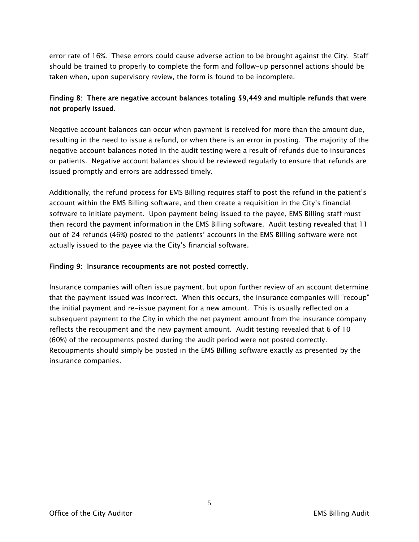error rate of 16%. These errors could cause adverse action to be brought against the City. Staff should be trained to properly to complete the form and follow-up personnel actions should be taken when, upon supervisory review, the form is found to be incomplete.

#### Finding 8: There are negative account balances totaling \$9,449 and multiple refunds that were not properly issued.

Negative account balances can occur when payment is received for more than the amount due, resulting in the need to issue a refund, or when there is an error in posting. The majority of the negative account balances noted in the audit testing were a result of refunds due to insurances or patients. Negative account balances should be reviewed regularly to ensure that refunds are issued promptly and errors are addressed timely.

Additionally, the refund process for EMS Billing requires staff to post the refund in the patient's account within the EMS Billing software, and then create a requisition in the City's financial software to initiate payment. Upon payment being issued to the payee, EMS Billing staff must then record the payment information in the EMS Billing software. Audit testing revealed that 11 out of 24 refunds (46%) posted to the patients' accounts in the EMS Billing software were not actually issued to the payee via the City's financial software.

#### Finding 9: Insurance recoupments are not posted correctly.

Insurance companies will often issue payment, but upon further review of an account determine that the payment issued was incorrect. When this occurs, the insurance companies will "recoup" the initial payment and re-issue payment for a new amount. This is usually reflected on a subsequent payment to the City in which the net payment amount from the insurance company reflects the recoupment and the new payment amount. Audit testing revealed that 6 of 10 (60%) of the recoupments posted during the audit period were not posted correctly. Recoupments should simply be posted in the EMS Billing software exactly as presented by the insurance companies.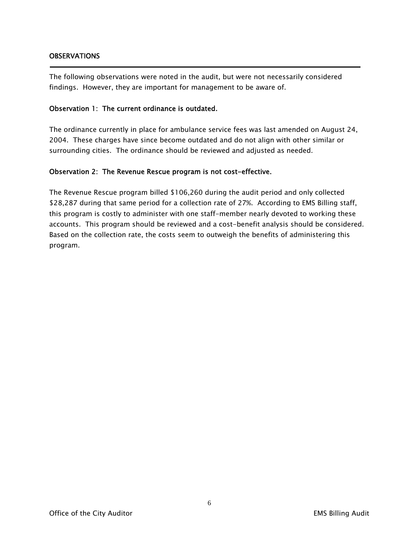#### OBSERVATIONS

1

The following observations were noted in the audit, but were not necessarily considered findings. However, they are important for management to be aware of.

#### Observation 1: The current ordinance is outdated.

The ordinance currently in place for ambulance service fees was last amended on August 24, 2004. These charges have since become outdated and do not align with other similar or surrounding cities. The ordinance should be reviewed and adjusted as needed.

#### Observation 2: The Revenue Rescue program is not cost-effective.

The Revenue Rescue program billed \$106,260 during the audit period and only collected \$28,287 during that same period for a collection rate of 27%. According to EMS Billing staff, this program is costly to administer with one staff-member nearly devoted to working these accounts. This program should be reviewed and a cost-benefit analysis should be considered. Based on the collection rate, the costs seem to outweigh the benefits of administering this program.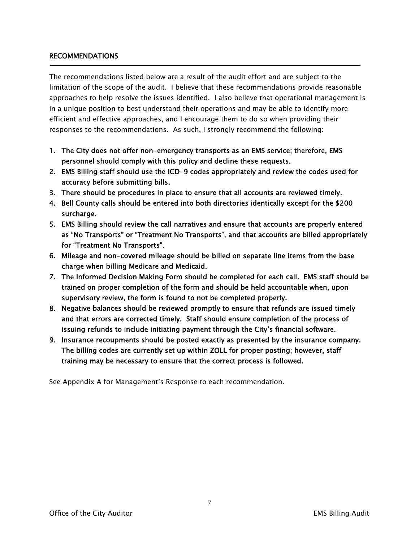#### RECOMMENDATIONS

The recommendations listed below are a result of the audit effort and are subject to the limitation of the scope of the audit. I believe that these recommendations provide reasonable approaches to help resolve the issues identified. I also believe that operational management is in a unique position to best understand their operations and may be able to identify more efficient and effective approaches, and I encourage them to do so when providing their responses to the recommendations. As such, I strongly recommend the following:

- 1. The City does not offer non-emergency transports as an EMS service; therefore, EMS personnel should comply with this policy and decline these requests.
- 2. EMS Billing staff should use the ICD-9 codes appropriately and review the codes used for accuracy before submitting bills.
- 3. There should be procedures in place to ensure that all accounts are reviewed timely.
- 4. Bell County calls should be entered into both directories identically except for the \$200 surcharge.
- 5. EMS Billing should review the call narratives and ensure that accounts are properly entered as "No Transports" or "Treatment No Transports", and that accounts are billed appropriately for "Treatment No Transports".
- 6. Mileage and non-covered mileage should be billed on separate line items from the base charge when billing Medicare and Medicaid.
- 7. The Informed Decision Making Form should be completed for each call. EMS staff should be trained on proper completion of the form and should be held accountable when, upon supervisory review, the form is found to not be completed properly.
- 8. Negative balances should be reviewed promptly to ensure that refunds are issued timely and that errors are corrected timely. Staff should ensure completion of the process of issuing refunds to include initiating payment through the City's financial software.
- 9. Insurance recoupments should be posted exactly as presented by the insurance company. The billing codes are currently set up within ZOLL for proper posting; however, staff training may be necessary to ensure that the correct process is followed.

See Appendix A for Management's Response to each recommendation.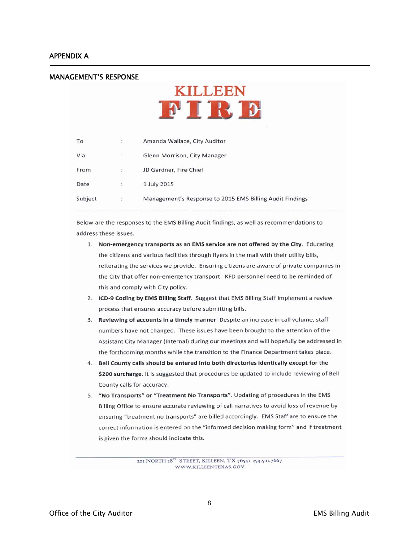j

#### MANAGEMENT'S RESPONSE



| To      | ÷                    | Amanda Wallace, City Auditor                             |
|---------|----------------------|----------------------------------------------------------|
| Via     | $\ddot{\phantom{0}}$ | Glenn Morrison, City Manager                             |
| From    |                      | JD Gardner, Fire Chief                                   |
| Date    | $\ddot{\phantom{a}}$ | 1 July 2015                                              |
| Subject | $\ddot{\cdot}$       | Management's Response to 2015 EMS Billing Audit Findings |
|         |                      |                                                          |

Below are the responses to the EMS Billing Audit findings, as well as recommendations to address these issues.

- 1. Non-emergency transports as an EMS service are not offered by the City. Educating the citizens and various facilities through flyers in the mail with their utility bills, reiterating the services we provide. Ensuring citizens are aware of private companies in the City that offer non-emergency transport. KFD personnel need to be reminded of this and comply with City policy.
- 2. ICD-9 Coding by EMS Billing Staff. Suggest that EMS Billing Staff implement a review process that ensures accuracy before submitting bills.
- 3. Reviewing of accounts in a timely manner. Despite an increase in call volume, staff numbers have not changed. These issues have been brought to the attention of the Assistant City Manager (Internal) during our meetings and will hopefully be addressed in the forthcoming months while the transition to the Finance Department takes place.
- 4. Bell County calls should be entered into both directories identically except for the \$200 surcharge. It is suggested that procedures be updated to include reviewing of Bell County calls for accuracy.
- 5. "No Transports" or "Treatment No Transports". Updating of procedures in the EMS Billing Office to ensure accurate reviewing of call narratives to avoid loss of revenue by ensuring "treatment no transports" are billed accordingly. EMS Staff are to ensure the correct information is entered on the "informed decision making form" and if treatment is given the forms should indicate this.

201 NORTH 28TH STREET, KILLEEN, TX 76541 254.501.7667 WWW.KILLEENTEXAS.GOV